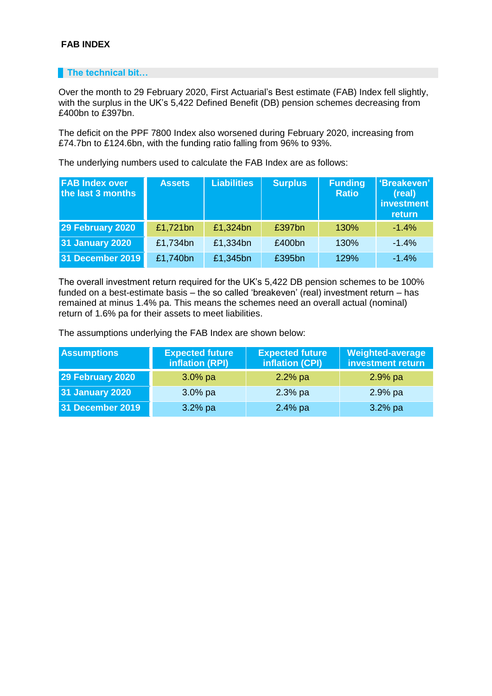## **FAB INDEX**

## **The technical bit...**

Over the month to 29 February 2020, First Actuarial's Best estimate (FAB) Index fell slightly, with the surplus in the UK's 5,422 Defined Benefit (DB) pension schemes decreasing from £400bn to £397bn.

The deficit on the PPF 7800 Index also worsened during February 2020, increasing from £74.7bn to £124.6bn, with the funding ratio falling from 96% to 93%.

The underlying numbers used to calculate the FAB Index are as follows:

| <b>FAB Index over</b><br>the last 3 months | <b>Assets</b> | <b>Liabilities</b> | <b>Surplus</b> | Funding<br><b>Ratio</b> | 'Breakeven'<br>(real)<br><b>investment</b><br>return |
|--------------------------------------------|---------------|--------------------|----------------|-------------------------|------------------------------------------------------|
| 29 February 2020                           | £1,721bn      | £1,324bn           | £397bn         | 130%                    | $-1.4%$                                              |
| <b>31 January 2020</b>                     | £1,734bn      | £1,334bn           | £400bn         | 130%                    | $-1.4%$                                              |
| <b>31 December 2019</b>                    | £1,740bn      | £1,345bn           | £395bn         | 129%                    | $-1.4%$                                              |

The overall investment return required for the UK's 5,422 DB pension schemes to be 100% funded on a best-estimate basis – the so called 'breakeven' (real) investment return – has remained at minus 1.4% pa. This means the schemes need an overall actual (nominal) return of 1.6% pa for their assets to meet liabilities.

The assumptions underlying the FAB Index are shown below:

| <b>Assumptions</b>     | <b>Expected future</b><br>inflation (RPI) | <b>Expected future</b><br>inflation (CPI) | Weighted-average<br>investment return |
|------------------------|-------------------------------------------|-------------------------------------------|---------------------------------------|
| 29 February 2020       | $3.0\%$ pa                                | $2.2%$ pa                                 | $2.9%$ pa                             |
| <b>31 January 2020</b> | $3.0\%$ pa                                | $2.3%$ pa                                 | $2.9%$ pa                             |
| 31 December 2019       | 3.2% pa                                   | $2.4%$ pa                                 | $3.2%$ pa                             |